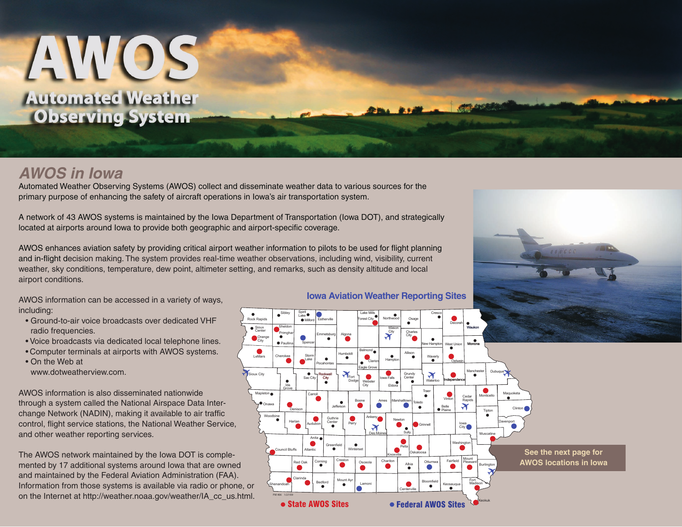# AWOS **Automated Weather Observing System**

## *AWOS in Iowa*

Automated Weather Observing Systems (AWOS) collect and disseminate weather data to various sources for the primary purpose of enhancing the safety of aircraft operations in Iowa's air transportation system.

A network of 43 AWOS systems is maintained by the Iowa Department of Transportation (Iowa DOT), and strategically located at airports around lowa to provide both geographic and airport-specific coverage.

AWOS enhances aviation safety by providing critical airport weather information to pilots to be used for flight planning and in-flight decision making. The system provides real-time weather observations, including wind, visibility, current weather, sky conditions, temperature, dew point, altimeter setting, and remarks, such as density altitude and local airport conditions.

AWOS information can be accessed in a variety of ways, including:

- Ground-to-air voice broadcasts over dedicated VHF radio frequencies.
- Voice broadcasts via dedicated local telephone lines.
- Computer terminals at airports with AWOS systems.

 • On the Web at www.dotweatherview.com.

AWOS information is also disseminated nationwide through a system called the National Airspace Data Interchange Network (NADIN), making it available to air traffic control, flight service stations, the National Weather Service, and other weather reporting services.

The AWOS network maintained by the Iowa DOT is complemented by 17 additional systems around Iowa that are owned and maintained by the Federal Aviation Administration (FAA). Information from those systems is available via radio or phone, or on the Internet at http://weather.noaa.gov/weather/IA\_cc\_us.html.

#### **Iowa Aviation Weather Reporting Sites**